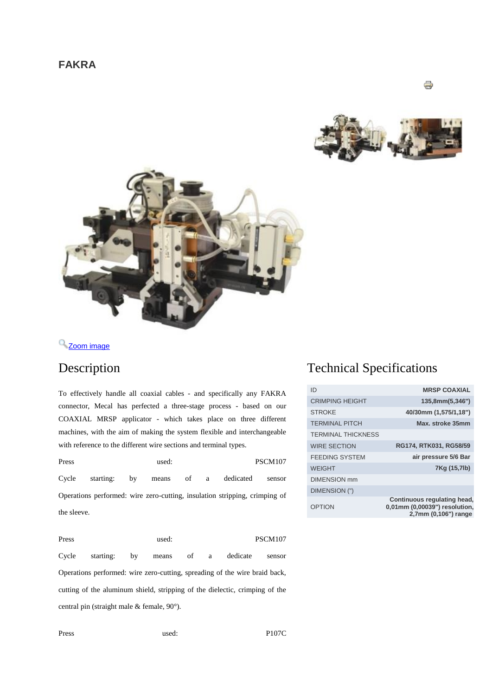



<sup>Q</sup> [Z](http://www.mecal.net/components/com_jshopping/files/img_products/full_mini_fakra.jpg)oom [image](http://www.mecal.net/components/com_jshopping/files/img_products/full_mini_fakra.jpg)

To effectively handle all coaxial cables - and specifically any FAKRA connector, Mecal has perfected a three-stage process - based on our COAXIAL MRSP applicator - which takes place on three different machines, with the aim of making the system flexible and interchangeable with reference to the different wire sections and terminal types.

Press used: PSCM107 Cycle starting: by means of a dedicated sensor Operations performed: wire zero-cutting, insulation stripping, crimping of the sleeve.

Press used: PSCM107 Cycle starting: by means of a dedicate sensor Operations performed: wire zero-cutting, spreading of the wire braid back, cutting of the aluminum shield, stripping of the dielectic, crimping of the central pin (straight male & female, 90°).

## Description Technical Specifications

| ID                        | <b>MRSP COAXIAL</b>                                                                  |
|---------------------------|--------------------------------------------------------------------------------------|
| <b>CRIMPING HEIGHT</b>    | 135,8mm(5,346")                                                                      |
| <b>STROKE</b>             | 40/30mm (1,575/1,18")                                                                |
| <b>TERMINAI PITCH</b>     | Max. stroke 35mm                                                                     |
| <b>TERMINAL THICKNESS</b> |                                                                                      |
| <b>WIRE SECTION</b>       | RG174, RTK031, RG58/59                                                               |
| <b>FEEDING SYSTEM</b>     | air pressure 5/6 Bar                                                                 |
| <b>WEIGHT</b>             | 7Kg (15,7lb)                                                                         |
| <b>DIMENSION</b> mm       |                                                                                      |
| DIMENSION (")             |                                                                                      |
| OPTION                    | Continuous regulating head,<br>0,01mm (0,00039") resolution,<br>2,7mm (0,106") range |

Press used: P107C